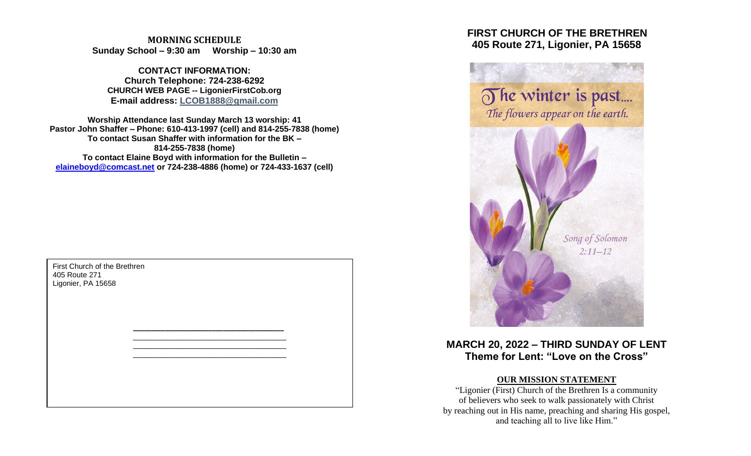**MORNING SCHEDULE Sunday School – 9:30 am Worship – 10:30 am**

**CONTACT INFORMATION: Church Telephone: 724-238-6292 CHURCH WEB PAGE -- LigonierFirstCob.org E-mail address: LCOB1888@gmail.com**

**Worship Attendance last Sunday March 13 worship: 41 Pastor John Shaffer – Phone: 610-413-1997 (cell) and 814-255-7838 (home) To contact Susan Shaffer with information for the BK – 814-255-7838 (home) To contact Elaine Boyd with information for the Bulletin – [elaineboyd@comcast.net](mailto:elaineboyd@comcast.net) or 724-238-4886 (home) or 724-433-1637 (cell)**

> **\_\_\_\_\_\_\_\_\_\_\_\_\_\_\_\_\_\_\_\_\_\_\_\_\_\_\_\_\_\_\_\_\_\_\_\_\_\_\_\_\_\_** \_\_\_\_\_\_\_\_\_\_\_\_\_\_\_\_\_\_\_\_\_\_\_\_\_\_\_\_\_\_\_\_\_\_\_\_\_ \_\_\_\_\_\_\_\_\_\_\_\_\_\_\_\_\_\_\_\_\_\_\_\_\_\_\_\_\_\_\_\_\_\_\_\_\_ \_\_\_\_\_\_\_\_\_\_\_\_\_\_\_\_\_\_\_\_\_\_\_\_\_\_\_\_\_\_\_\_\_\_\_\_\_

First Church of the Brethren 405 Route 271 Ligonier, PA 15658

# **FIRST CHURCH OF THE BRETHREN 405 Route 271, Ligonier, PA 15658**



**MARCH 20, 2022 – THIRD SUNDAY OF LENT Theme for Lent: "Love on the Cross"**

## **OUR MISSION STATEMENT**

"Ligonier (First) Church of the Brethren Is a community of believers who seek to walk passionately with Christ by reaching out in His name, preaching and sharing His gospel, and teaching all to live like Him."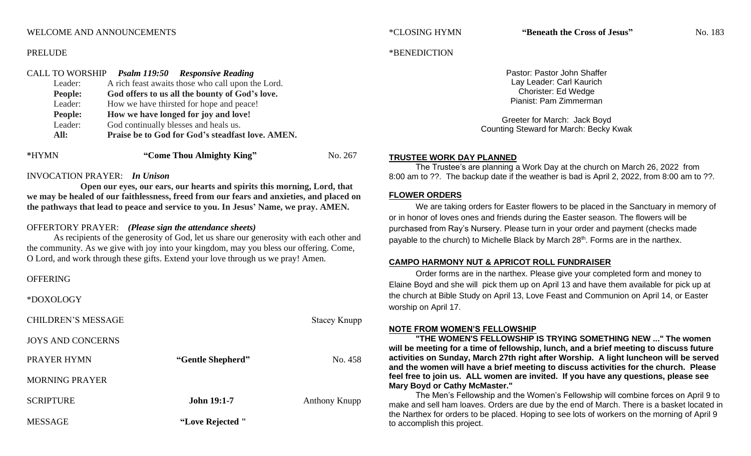## WELCOME AND ANNOUNCEMENTS

## PRELUDE

# CALL TO WORSHIP *Psalm 119:50 Responsive Reading* Leader: A rich feast awaits those who call upon the Lord. **People: God offers to us all the bounty of God's love.** Leader: How we have thirsted for hope and peace! **People: How we have longed for joy and love!** Leader: God continually blesses and heals us. **All: Praise be to God for God's steadfast love. AMEN.**

| No. 267 |
|---------|
|         |

## INVOCATION PRAYER: *In Unison*

**Open our eyes, our ears, our hearts and spirits this morning, Lord, that we may be healed of our faithlessness, freed from our fears and anxieties, and placed on the pathways that lead to peace and service to you. In Jesus' Name, we pray. AMEN.**

## OFFERTORY PRAYER: *(Please sign the attendance sheets)*

As recipients of the generosity of God, let us share our generosity with each other and the community. As we give with joy into your kingdom, may you bless our offering. Come, O Lord, and work through these gifts. Extend your love through us we pray! Amen.

## **OFFERING**

\*DOXOLOGY

| <b>CHILDREN'S MESSAGE</b> |                    | <b>Stacey Knupp</b> |
|---------------------------|--------------------|---------------------|
| <b>JOYS AND CONCERNS</b>  |                    |                     |
| PRAYER HYMN               | "Gentle Shepherd"  | No. 458             |
| MORNING PRAYER            |                    |                     |
| <b>SCRIPTURE</b>          | <b>John 19:1-7</b> | Anthony Knupp       |
| <b>MESSAGE</b>            | "Love Rejected "   |                     |

#### \*BENEDICTION

Pastor: Pastor John Shaffer Lay Leader: Carl Kaurich Chorister: Ed Wedge Pianist: Pam Zimmerman

Greeter for March: Jack Boyd Counting Steward for March: Becky Kwak

## **TRUSTEE WORK DAY PLANNED**

The Trustee's are planning a Work Day at the church on March 26, 2022 from 8:00 am to ??. The backup date if the weather is bad is April 2, 2022, from 8:00 am to ??.

## **FLOWER ORDERS**

We are taking orders for Easter flowers to be placed in the Sanctuary in memory of or in honor of loves ones and friends during the Easter season. The flowers will be purchased from Ray's Nursery. Please turn in your order and payment (checks made payable to the church) to Michelle Black by March 28th. Forms are in the narthex.

## **CAMPO HARMONY NUT & APRICOT ROLL FUNDRAISER**

Order forms are in the narthex. Please give your completed form and money to Elaine Boyd and she will pick them up on April 13 and have them available for pick up at the church at Bible Study on April 13, Love Feast and Communion on April 14, or Easter worship on April 17.

## **NOTE FROM WOMEN'S FELLOWSHIP**

**"THE WOMEN'S FELLOWSHIP IS TRYING SOMETHING NEW ..." The women will be meeting for a time of fellowship, lunch, and a brief meeting to discuss future activities on Sunday, March 27th right after Worship. A light luncheon will be served and the women will have a brief meeting to discuss activities for the church. Please feel free to join us. ALL women are invited. If you have any questions, please see Mary Boyd or Cathy McMaster."**

The Men's Fellowship and the Women's Fellowship will combine forces on April 9 to make and sell ham loaves. Orders are due by the end of March. There is a basket located in the Narthex for orders to be placed. Hoping to see lots of workers on the morning of April 9 to accomplish this project.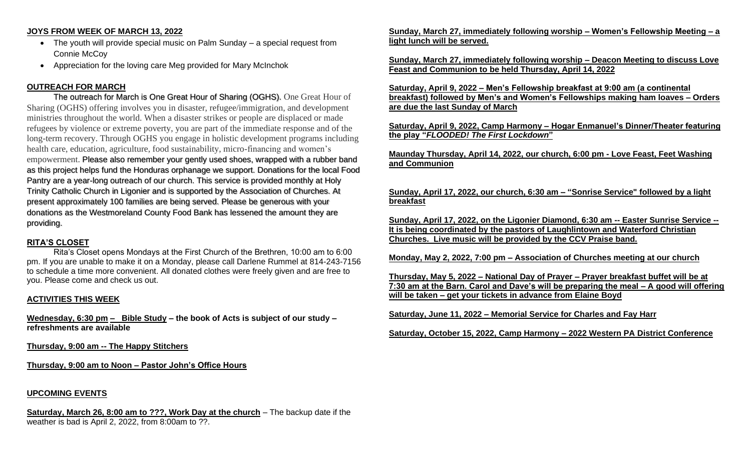## **JOYS FROM WEEK OF MARCH 13, 2022**

- The youth will provide special music on Palm Sunday a special request from Connie McCoy
- Appreciation for the loving care Meg provided for Mary McInchok

# **OUTREACH FOR MARCH**

The outreach for March is One Great Hour of Sharing (OGHS). One Great Hour of Sharing (OGHS) offering involves you in disaster, refugee/immigration, and development ministries throughout the world. When a disaster strikes or people are displaced or made refugees by violence or extreme poverty, you are part of the immediate response and of the long-term recovery. Through OGHS you engage in holistic development programs including health care, education, agriculture, food sustainability, micro-financing and women's empowerment. Please also remember your gently used shoes, wrapped with a rubber band as this project helps fund the Honduras orphanage we support. Donations for the local Food Pantry are a year-long outreach of our church. This service is provided monthly at Holy Trinity Catholic Church in Ligonier and is supported by the Association of Churches. At present approximately 100 families are being served. Please be generous with your donations as the Westmoreland County Food Bank has lessened the amount they are providing.

## **RITA'S CLOSET**

Rita's Closet opens Mondays at the First Church of the Brethren, 10:00 am to 6:00 pm. If you are unable to make it on a Monday, please call Darlene Rummel at 814-243-7156 to schedule a time more convenient. All donated clothes were freely given and are free to you. Please come and check us out.

## **ACTIVITIES THIS WEEK**

**Wednesday, 6:30 pm – Bible Study – the book of Acts is subject of our study – refreshments are available**

**Thursday, 9:00 am -- The Happy Stitchers** 

**Thursday, 9:00 am to Noon – Pastor John's Office Hours**

# **UPCOMING EVENTS**

**Saturday, March 26, 8:00 am to ???, Work Day at the church** – The backup date if the weather is bad is April 2, 2022, from 8:00am to ??.

**Sunday, March 27, immediately following worship – Women's Fellowship Meeting – a light lunch will be served.** 

**Sunday, March 27, immediately following worship – Deacon Meeting to discuss Love Feast and Communion to be held Thursday, April 14, 2022**

**Saturday, April 9, 2022 – Men's Fellowship breakfast at 9:00 am (a continental breakfast) followed by Men's and Women's Fellowships making ham loaves – Orders are due the last Sunday of March**

**Saturday, April 9, 2022, Camp Harmony – Hogar Enmanuel's Dinner/Theater featuring the play "***FLOODED! The First Lockdown***"**

**Maunday Thursday, April 14, 2022, our church, 6:00 pm - Love Feast, Feet Washing and Communion** 

## **Sunday, April 17, 2022, our church, 6:30 am – "Sonrise Service" followed by a light breakfast**

**Sunday, April 17, 2022, on the Ligonier Diamond, 6:30 am -- Easter Sunrise Service -- It is being coordinated by the pastors of Laughlintown and Waterford Christian Churches. Live music will be provided by the CCV Praise band.**

**Monday, May 2, 2022, 7:00 pm – Association of Churches meeting at our church**

**Thursday, May 5, 2022 – National Day of Prayer – Prayer breakfast buffet will be at 7:30 am at the Barn. Carol and Dave's will be preparing the meal – A good will offering will be taken – get your tickets in advance from Elaine Boyd**

**Saturday, June 11, 2022 – Memorial Service for Charles and Fay Harr**

**Saturday, October 15, 2022, Camp Harmony – 2022 Western PA District Conference**